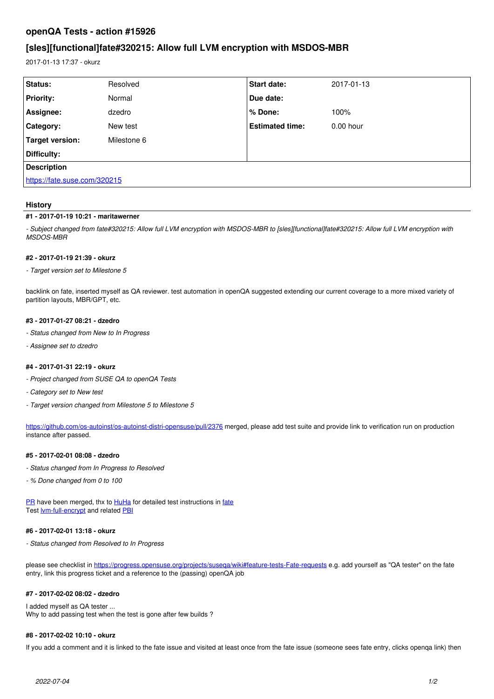# **openQA Tests - action #15926**

# **[sles][functional]fate#320215: Allow full LVM encryption with MSDOS-MBR**

2017-01-13 17:37 - okurz

| Status:                      | Resolved    | <b>Start date:</b>     | 2017-01-13  |
|------------------------------|-------------|------------------------|-------------|
| <b>Priority:</b>             | Normal      | Due date:              |             |
| Assignee:                    | dzedro      | % Done:                | 100%        |
| Category:                    | New test    | <b>Estimated time:</b> | $0.00$ hour |
| Target version:              | Milestone 6 |                        |             |
| Difficulty:                  |             |                        |             |
| <b>Description</b>           |             |                        |             |
| https://fate.suse.com/320215 |             |                        |             |

# **History**

### **#1 - 2017-01-19 10:21 - maritawerner**

*- Subject changed from fate#320215: Allow full LVM encryption with MSDOS-MBR to [sles][functional]fate#320215: Allow full LVM encryption with MSDOS-MBR*

### **#2 - 2017-01-19 21:39 - okurz**

*- Target version set to Milestone 5*

backlink on fate, inserted myself as QA reviewer. test automation in openQA suggested extending our current coverage to a more mixed variety of partition layouts, MBR/GPT, etc.

### **#3 - 2017-01-27 08:21 - dzedro**

- *Status changed from New to In Progress*
- *Assignee set to dzedro*

#### **#4 - 2017-01-31 22:19 - okurz**

- *Project changed from SUSE QA to openQA Tests*
- *Category set to New test*
- *Target version changed from Milestone 5 to Milestone 5*

<https://github.com/os-autoinst/os-autoinst-distri-opensuse/pull/2376>merged, please add test suite and provide link to verification run on production instance after passed.

#### **#5 - 2017-02-01 08:08 - dzedro**

- *Status changed from In Progress to Resolved*
- *% Done changed from 0 to 100*

[PR](https://github.com/os-autoinst/os-autoinst-distri-opensuse/pull/2376) have been merged, thx to **HuHa** for detailed test instructions in [fate](https://fate.suse.com/320215) Test **lym-full-encrypt** and related **[PBI](https://trello.com/c/4IojS1Y5/490-2-12-sp3-fate-320215-allow-full-lvm-encryption-with-msdos-mbr-without-extra-boot)** 

#### **#6 - 2017-02-01 13:18 - okurz**

*- Status changed from Resolved to In Progress*

please see checklist in<https://progress.opensuse.org/projects/suseqa/wiki#feature-tests-Fate-requests> e.g. add yourself as "QA tester" on the fate entry, link this progress ticket and a reference to the (passing) openQA job

#### **#7 - 2017-02-02 08:02 - dzedro**

I added myself as QA tester ... Why to add passing test when the test is gone after few builds ?

## **#8 - 2017-02-02 10:10 - okurz**

If you add a comment and it is linked to the fate issue and visited at least once from the fate issue (someone sees fate entry, clicks openqa link) then